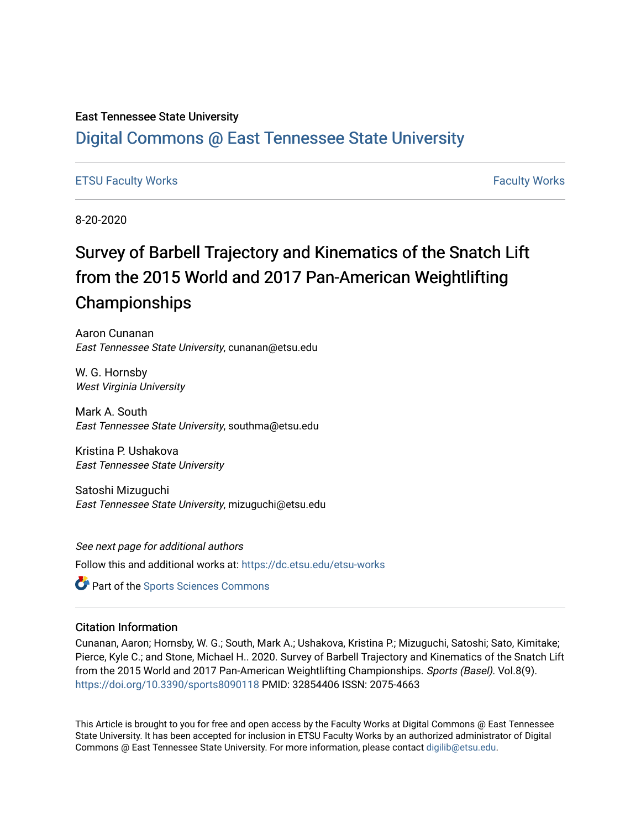#### East Tennessee State University

## [Digital Commons @ East Tennessee State University](https://dc.etsu.edu/)

#### [ETSU Faculty Works](https://dc.etsu.edu/etsu-works) [Faculty Works](https://dc.etsu.edu/faculty-works)

8-20-2020

# Survey of Barbell Trajectory and Kinematics of the Snatch Lift from the 2015 World and 2017 Pan-American Weightlifting Championships

Aaron Cunanan East Tennessee State University, cunanan@etsu.edu

W. G. Hornsby West Virginia University

Mark A. South East Tennessee State University, southma@etsu.edu

Kristina P. Ushakova East Tennessee State University

Satoshi Mizuguchi East Tennessee State University, mizuguchi@etsu.edu

See next page for additional authors Follow this and additional works at: [https://dc.etsu.edu/etsu-works](https://dc.etsu.edu/etsu-works?utm_source=dc.etsu.edu%2Fetsu-works%2F19346&utm_medium=PDF&utm_campaign=PDFCoverPages) 

**Part of the Sports Sciences Commons** 

#### Citation Information

Cunanan, Aaron; Hornsby, W. G.; South, Mark A.; Ushakova, Kristina P.; Mizuguchi, Satoshi; Sato, Kimitake; Pierce, Kyle C.; and Stone, Michael H.. 2020. Survey of Barbell Trajectory and Kinematics of the Snatch Lift from the 2015 World and 2017 Pan-American Weightlifting Championships. Sports (Basel). Vol.8(9). <https://doi.org/10.3390/sports8090118> PMID: 32854406 ISSN: 2075-4663

This Article is brought to you for free and open access by the Faculty Works at Digital Commons @ East Tennessee State University. It has been accepted for inclusion in ETSU Faculty Works by an authorized administrator of Digital Commons @ East Tennessee State University. For more information, please contact [digilib@etsu.edu.](mailto:digilib@etsu.edu)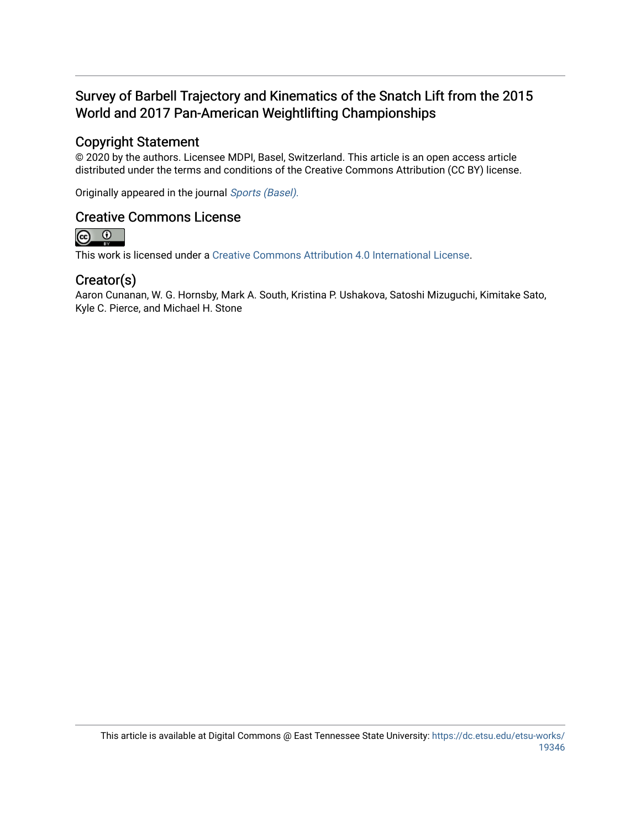## Survey of Barbell Trajectory and Kinematics of the Snatch Lift from the 2015 World and 2017 Pan-American Weightlifting Championships

## Copyright Statement

© 2020 by the authors. Licensee MDPI, Basel, Switzerland. This article is an open access article distributed under the terms and conditions of the Creative Commons Attribution (CC BY) license.

Originally appeared in the journal [Sports \(Basel\).](https://doi.org/10.3390/sports8090118) 

# Creative Commons License<br> **@** 0



This work is licensed under a [Creative Commons Attribution 4.0 International License.](https://creativecommons.org/licenses/by/4.0/)

### Creator(s)

Aaron Cunanan, W. G. Hornsby, Mark A. South, Kristina P. Ushakova, Satoshi Mizuguchi, Kimitake Sato, Kyle C. Pierce, and Michael H. Stone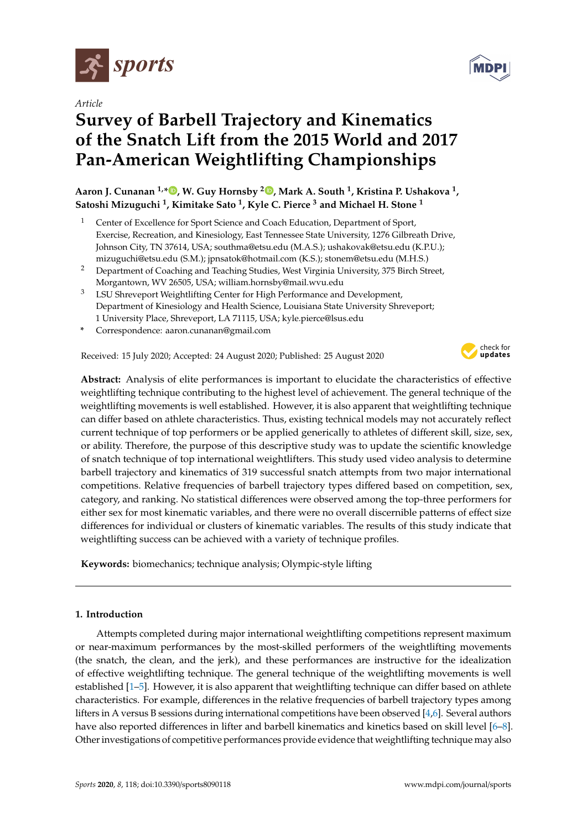

*Article*

## **Survey of Barbell Trajectory and Kinematics of the Snatch Lift from the 2015 World and 2017 Pan-American Weightlifting Championships**

**Aaron J. Cunanan 1,\* [,](https://orcid.org/0000-0001-7328-4217) W. Guy Hornsby <sup>2</sup> [,](https://orcid.org/0000-0001-6803-6200) Mark A. South <sup>1</sup> , Kristina P. Ushakova <sup>1</sup> , Satoshi Mizuguchi <sup>1</sup> , Kimitake Sato <sup>1</sup> , Kyle C. Pierce <sup>3</sup> and Michael H. Stone <sup>1</sup>**

- <sup>1</sup> Center of Excellence for Sport Science and Coach Education, Department of Sport, Exercise, Recreation, and Kinesiology, East Tennessee State University, 1276 Gilbreath Drive, Johnson City, TN 37614, USA; southma@etsu.edu (M.A.S.); ushakovak@etsu.edu (K.P.U.); mizuguchi@etsu.edu (S.M.); jpnsatok@hotmail.com (K.S.); stonem@etsu.edu (M.H.S.)
- <sup>2</sup> Department of Coaching and Teaching Studies, West Virginia University, 375 Birch Street, Morgantown, WV 26505, USA; william.hornsby@mail.wvu.edu
- <sup>3</sup> LSU Shreveport Weightlifting Center for High Performance and Development, Department of Kinesiology and Health Science, Louisiana State University Shreveport; 1 University Place, Shreveport, LA 71115, USA; kyle.pierce@lsus.edu
- **\*** Correspondence: aaron.cunanan@gmail.com

Received: 15 July 2020; Accepted: 24 August 2020; Published: 25 August 2020



**Abstract:** Analysis of elite performances is important to elucidate the characteristics of effective weightlifting technique contributing to the highest level of achievement. The general technique of the weightlifting movements is well established. However, it is also apparent that weightlifting technique can differ based on athlete characteristics. Thus, existing technical models may not accurately reflect current technique of top performers or be applied generically to athletes of different skill, size, sex, or ability. Therefore, the purpose of this descriptive study was to update the scientific knowledge of snatch technique of top international weightlifters. This study used video analysis to determine barbell trajectory and kinematics of 319 successful snatch attempts from two major international competitions. Relative frequencies of barbell trajectory types differed based on competition, sex, category, and ranking. No statistical differences were observed among the top-three performers for either sex for most kinematic variables, and there were no overall discernible patterns of effect size differences for individual or clusters of kinematic variables. The results of this study indicate that weightlifting success can be achieved with a variety of technique profiles.

**Keywords:** biomechanics; technique analysis; Olympic-style lifting

#### **1. Introduction**

Attempts completed during major international weightlifting competitions represent maximum or near-maximum performances by the most-skilled performers of the weightlifting movements (the snatch, the clean, and the jerk), and these performances are instructive for the idealization of effective weightlifting technique. The general technique of the weightlifting movements is well established [\[1](#page-15-0)[–5\]](#page-15-1). However, it is also apparent that weightlifting technique can differ based on athlete characteristics. For example, differences in the relative frequencies of barbell trajectory types among lifters in A versus B sessions during international competitions have been observed [\[4,](#page-15-2)[6\]](#page-15-3). Several authors have also reported differences in lifter and barbell kinematics and kinetics based on skill level [\[6–](#page-15-3)[8\]](#page-15-4). Other investigations of competitive performances provide evidence that weightlifting technique may also

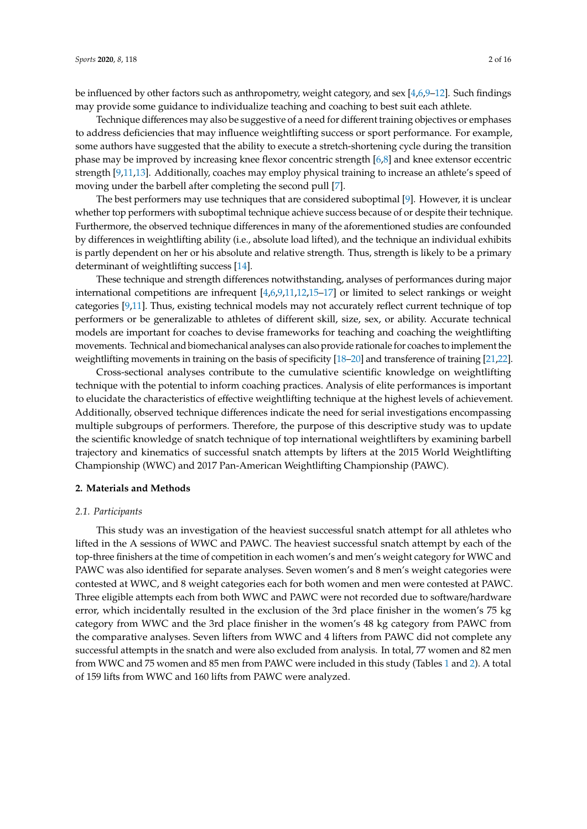be influenced by other factors such as anthropometry, weight category, and sex [\[4](#page-15-2)[,6,](#page-15-3)[9](#page-15-5)[–12\]](#page-15-6). Such findings may provide some guidance to individualize teaching and coaching to best suit each athlete.

Technique differences may also be suggestive of a need for different training objectives or emphases to address deficiencies that may influence weightlifting success or sport performance. For example, some authors have suggested that the ability to execute a stretch-shortening cycle during the transition phase may be improved by increasing knee flexor concentric strength [\[6,](#page-15-3)[8\]](#page-15-4) and knee extensor eccentric strength [\[9,](#page-15-5)[11,](#page-15-7)[13\]](#page-15-8). Additionally, coaches may employ physical training to increase an athlete's speed of moving under the barbell after completing the second pull [\[7\]](#page-15-9).

The best performers may use techniques that are considered suboptimal [\[9\]](#page-15-5). However, it is unclear whether top performers with suboptimal technique achieve success because of or despite their technique. Furthermore, the observed technique differences in many of the aforementioned studies are confounded by differences in weightlifting ability (i.e., absolute load lifted), and the technique an individual exhibits is partly dependent on her or his absolute and relative strength. Thus, strength is likely to be a primary determinant of weightlifting success [\[14\]](#page-15-10).

These technique and strength differences notwithstanding, analyses of performances during major international competitions are infrequent [\[4](#page-15-2)[,6](#page-15-3)[,9,](#page-15-5)[11](#page-15-7)[,12](#page-15-6)[,15](#page-15-11)[–17\]](#page-15-12) or limited to select rankings or weight categories [\[9,](#page-15-5)[11\]](#page-15-7). Thus, existing technical models may not accurately reflect current technique of top performers or be generalizable to athletes of different skill, size, sex, or ability. Accurate technical models are important for coaches to devise frameworks for teaching and coaching the weightlifting movements. Technical and biomechanical analyses can also provide rationale for coaches to implement the weightlifting movements in training on the basis of specificity [\[18](#page-15-13)[–20\]](#page-15-14) and transference of training [\[21](#page-16-0)[,22\]](#page-16-1).

Cross-sectional analyses contribute to the cumulative scientific knowledge on weightlifting technique with the potential to inform coaching practices. Analysis of elite performances is important to elucidate the characteristics of effective weightlifting technique at the highest levels of achievement. Additionally, observed technique differences indicate the need for serial investigations encompassing multiple subgroups of performers. Therefore, the purpose of this descriptive study was to update the scientific knowledge of snatch technique of top international weightlifters by examining barbell trajectory and kinematics of successful snatch attempts by lifters at the 2015 World Weightlifting Championship (WWC) and 2017 Pan-American Weightlifting Championship (PAWC).

#### **2. Materials and Methods**

#### *2.1. Participants*

This study was an investigation of the heaviest successful snatch attempt for all athletes who lifted in the A sessions of WWC and PAWC. The heaviest successful snatch attempt by each of the top-three finishers at the time of competition in each women's and men's weight category for WWC and PAWC was also identified for separate analyses. Seven women's and 8 men's weight categories were contested at WWC, and 8 weight categories each for both women and men were contested at PAWC. Three eligible attempts each from both WWC and PAWC were not recorded due to software/hardware error, which incidentally resulted in the exclusion of the 3rd place finisher in the women's 75 kg category from WWC and the 3rd place finisher in the women's 48 kg category from PAWC from the comparative analyses. Seven lifters from WWC and 4 lifters from PAWC did not complete any successful attempts in the snatch and were also excluded from analysis. In total, 77 women and 82 men from WWC and 75 women and 85 men from PAWC were included in this study (Tables [1](#page-4-0) and [2\)](#page-4-1). A total of 159 lifts from WWC and 160 lifts from PAWC were analyzed.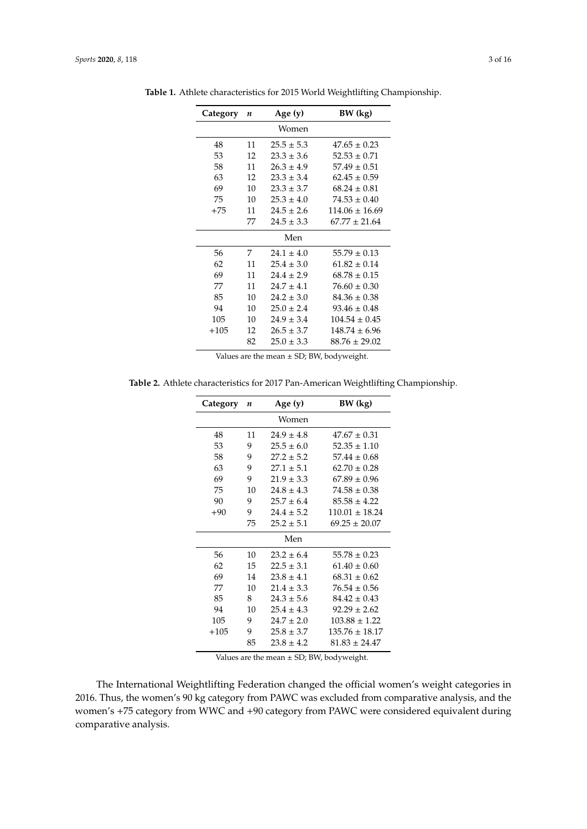| Category | Age $(y)$<br>$\boldsymbol{n}$ |                | $BW$ (kg)          |  |  |  |
|----------|-------------------------------|----------------|--------------------|--|--|--|
| Women    |                               |                |                    |  |  |  |
| 48       | 11                            | $25.5 \pm 5.3$ | $47.65 \pm 0.23$   |  |  |  |
| 53       | 12                            | $23.3 \pm 3.6$ | $52.53 \pm 0.71$   |  |  |  |
| 58       | 11                            | $26.3 + 4.9$   | $57.49 \pm 0.51$   |  |  |  |
| 63       | 12                            | $23.3 + 3.4$   | $62.45 \pm 0.59$   |  |  |  |
| 69       | 10                            | $23.3 \pm 3.7$ | $68.24 \pm 0.81$   |  |  |  |
| 75       | 10                            | $25.3 \pm 4.0$ | $74.53 \pm 0.40$   |  |  |  |
| $+75$    | 11<br>$24.5 + 2.6$            |                | $114.06 \pm 16.69$ |  |  |  |
|          | 77                            | $24.5 + 3.3$   | $67.77 + 21.64$    |  |  |  |
| Men      |                               |                |                    |  |  |  |
| 56       | 7                             | $24.1 \pm 4.0$ | $55.79 \pm 0.13$   |  |  |  |
| 62       | 11                            | $25.4 \pm 3.0$ | $61.82 \pm 0.14$   |  |  |  |
| 69       | 11                            | $24.4 + 2.9$   | $68.78 \pm 0.15$   |  |  |  |
| 77       | 11                            | $74.7 + 4.1$   | $76.60 \pm 0.30$   |  |  |  |
| 85       | 10                            | $24.2 \pm 3.0$ | $84.36 \pm 0.38$   |  |  |  |
| 94       | 10                            | $25.0 \pm 2.4$ | $93.46 \pm 0.48$   |  |  |  |
| 105      | 10                            | $24.9 \pm 3.4$ | $104.54 \pm 0.45$  |  |  |  |
| $+105$   | 12                            | $26.5 \pm 3.7$ | $148.74 \pm 6.96$  |  |  |  |
|          | 82                            | $25.0 \pm 3.3$ | $88.76 \pm 29.02$  |  |  |  |

<span id="page-4-0"></span>**Table 1.** Athlete characteristics for 2015 World Weightlifting Championship.

Values are the mean ± SD; BW, bodyweight.

<span id="page-4-1"></span>**Table 2.** Athlete characteristics for 2017 Pan-American Weightlifting Championship.

| Category | n  | Age $(y)$      | $BW$ (kg)          |  |  |  |
|----------|----|----------------|--------------------|--|--|--|
| Women    |    |                |                    |  |  |  |
| 48       | 11 | $24.9 \pm 4.8$ | $47.67 \pm 0.31$   |  |  |  |
| 53       | 9  | $25.5 \pm 6.0$ | $52.35 \pm 1.10$   |  |  |  |
| 58       | 9  | $27.2 \pm 5.2$ | $57.44 \pm 0.68$   |  |  |  |
| 63       | 9  | $27.1 \pm 5.1$ | $62.70 \pm 0.28$   |  |  |  |
| 69       | 9  | $21.9 \pm 3.3$ | $67.89 \pm 0.96$   |  |  |  |
| 75       | 10 | $24.8 + 4.3$   | $74.58 \pm 0.38$   |  |  |  |
| 90       | 9  | $25.7 \pm 6.4$ | $85.58 \pm 4.22$   |  |  |  |
| $+90$    | 9  | $24.4 + 5.2$   | $110.01 \pm 18.24$ |  |  |  |
|          | 75 | $25.2 \pm 5.1$ | $69.25 \pm 20.07$  |  |  |  |
| Men      |    |                |                    |  |  |  |
| 56       | 10 | $23.2 \pm 6.4$ | $55.78 \pm 0.23$   |  |  |  |
| 62       | 15 | $22.5 \pm 3.1$ | $61.40 \pm 0.60$   |  |  |  |
| 69       | 14 | $23.8 \pm 4.1$ | $68.31 \pm 0.62$   |  |  |  |
| 77       | 10 | $21.4 \pm 3.3$ | $76.54 \pm 0.56$   |  |  |  |
| 85       | 8  | $24.3 \pm 5.6$ | $84.42 \pm 0.43$   |  |  |  |
| 94       | 10 | $25.4 \pm 4.3$ | $92.29 \pm 2.62$   |  |  |  |
| 105      | 9  | $24.7 \pm 2.0$ | $103.88 \pm 1.22$  |  |  |  |
| $+105$   | 9  | $25.8 \pm 3.7$ | $135.76 \pm 18.17$ |  |  |  |
|          | 85 | $23.8 \pm 4.2$ | $81.83 \pm 24.47$  |  |  |  |

Values are the mean ± SD; BW, bodyweight.

The International Weightlifting Federation changed the official women's weight categories in 2016. Thus, the women's 90 kg category from PAWC was excluded from comparative analysis, and the women's +75 category from WWC and +90 category from PAWC were considered equivalent during comparative analysis.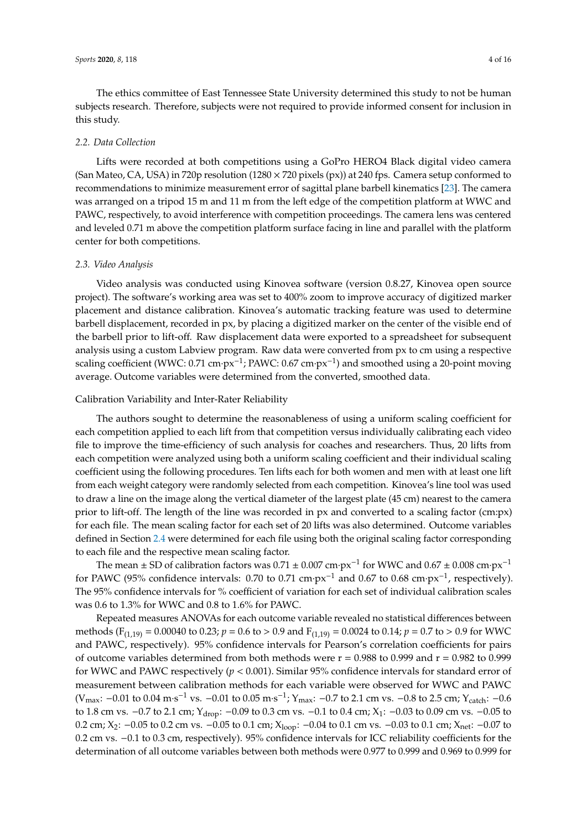The ethics committee of East Tennessee State University determined this study to not be human subjects research. Therefore, subjects were not required to provide informed consent for inclusion in this study.

#### *2.2. Data Collection*

Lifts were recorded at both competitions using a GoPro HERO4 Black digital video camera (San Mateo, CA, USA) in 720p resolution (1280 × 720 pixels (px)) at 240 fps. Camera setup conformed to recommendations to minimize measurement error of sagittal plane barbell kinematics [\[23\]](#page-16-2). The camera was arranged on a tripod 15 m and 11 m from the left edge of the competition platform at WWC and PAWC, respectively, to avoid interference with competition proceedings. The camera lens was centered and leveled 0.71 m above the competition platform surface facing in line and parallel with the platform center for both competitions.

#### *2.3. Video Analysis*

Video analysis was conducted using Kinovea software (version 0.8.27, Kinovea open source project). The software's working area was set to 400% zoom to improve accuracy of digitized marker placement and distance calibration. Kinovea's automatic tracking feature was used to determine barbell displacement, recorded in px, by placing a digitized marker on the center of the visible end of the barbell prior to lift-off. Raw displacement data were exported to a spreadsheet for subsequent analysis using a custom Labview program. Raw data were converted from px to cm using a respective scaling coefficient (WWC: 0.71 cm·px<sup>-1</sup>; PAWC: 0.67 cm·px<sup>-1</sup>) and smoothed using a 20-point moving average. Outcome variables were determined from the converted, smoothed data.

#### Calibration Variability and Inter-Rater Reliability

The authors sought to determine the reasonableness of using a uniform scaling coefficient for each competition applied to each lift from that competition versus individually calibrating each video file to improve the time-efficiency of such analysis for coaches and researchers. Thus, 20 lifts from each competition were analyzed using both a uniform scaling coefficient and their individual scaling coefficient using the following procedures. Ten lifts each for both women and men with at least one lift from each weight category were randomly selected from each competition. Kinovea's line tool was used to draw a line on the image along the vertical diameter of the largest plate (45 cm) nearest to the camera prior to lift-off. The length of the line was recorded in px and converted to a scaling factor (cm:px) for each file. The mean scaling factor for each set of 20 lifts was also determined. Outcome variables defined in Section [2.4](#page-6-0) were determined for each file using both the original scaling factor corresponding to each file and the respective mean scaling factor.

The mean  $\pm$  SD of calibration factors was 0.71  $\pm$  0.007 cm·px<sup>-1</sup> for WWC and 0.67  $\pm$  0.008 cm·px<sup>-1</sup> for PAWC (95% confidence intervals: 0.70 to 0.71 cm·px<sup>-1</sup> and 0.67 to 0.68 cm·px<sup>-1</sup>, respectively). The 95% confidence intervals for % coefficient of variation for each set of individual calibration scales was 0.6 to 1.3% for WWC and 0.8 to 1.6% for PAWC.

Repeated measures ANOVAs for each outcome variable revealed no statistical differences between methods (F<sub>(1,19)</sub> = 0.00040 to 0.23;  $p = 0.6$  to > 0.9 and F<sub>(1,19)</sub> = 0.0024 to 0.14;  $p = 0.7$  to > 0.9 for WWC and PAWC, respectively). 95% confidence intervals for Pearson's correlation coefficients for pairs of outcome variables determined from both methods were  $r = 0.988$  to 0.999 and  $r = 0.982$  to 0.999 for WWC and PAWC respectively (*p* < 0.001). Similar 95% confidence intervals for standard error of measurement between calibration methods for each variable were observed for WWC and PAWC (V<sub>max</sub>: -0.01 to 0.04 m·s<sup>-1</sup> vs. -0.01 to 0.05 m·s<sup>-1</sup>; Y<sub>max</sub>: -0.7 to 2.1 cm vs. -0.8 to 2.5 cm; Y<sub>catch</sub>: -0.6 to 1.8 cm vs. –0.7 to 2.1 cm; Y<sub>drop</sub>: –0.09 to 0.3 cm vs. –0.1 to 0.4 cm; X<sub>1</sub>: –0.03 to 0.09 cm vs. –0.05 to 0.2 cm; X<sub>2</sub>: −0.05 to 0.2 cm vs. −0.05 to 0.1 cm; X<sub>loop</sub>: −0.04 to 0.1 cm vs. −0.03 to 0.1 cm; X<sub>net</sub>: −0.07 to 0.2 cm vs. −0.1 to 0.3 cm, respectively). 95% confidence intervals for ICC reliability coefficients for the determination of all outcome variables between both methods were 0.977 to 0.999 and 0.969 to 0.999 for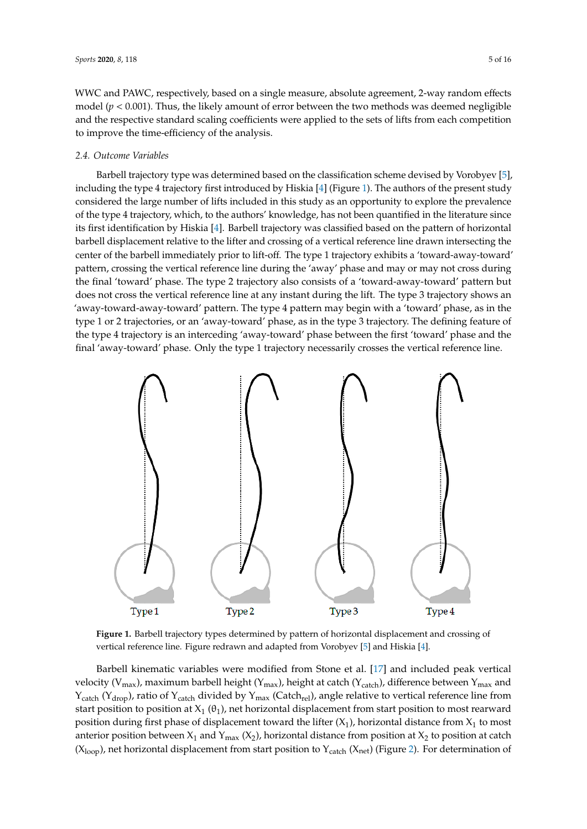WWC and PAWC, respectively, based on a single measure, absolute agreement, 2-way random effects was deemed to the likely amount of error between the two methods was deemed to the two methods was deemed to the two methods w model ( $p < 0.001$ ). Thus, the likely amount of error between the two methods was deemed negligible  $\frac{1}{2}$ and the respective standard scaling coefficients were applied to the sets of lifts from each competition to improve the time-efficiency of the analysis.

## <span id="page-6-0"></span>*2.4. Outcome Variables 2.4. Outcome Variables*

Barbell trajectory type was determined based on the classification scheme devised by Vorobyev [\[5\]](#page-15-1), Barbell trajectory type was determined based on the classification scheme devised by Vorobyev including the type 4 trajectory first introduced by Hiskia [\[4\]](#page-15-2) (Figure [1\)](#page-6-1). The authors of the present study considered the large number of lifts included in this study as an opportunity to explore the prevalence of the type 4 trajectory, which, to the authors' knowledge, has not been quantified in the literature since its first identification by Hiskia [\[4\]](#page-15-2). Barbell trajectory was classified based on the pattern of horizontal barbell displacement relative to the lifter and crossing of a vertical reference line drawn intersecting the center of the barbell immediately prior to lift-off. The type 1 trajectory exhibits a 'toward-away-toward' pattern, crossing the vertical reference line during the 'away' phase and may or may not cross during the final 'toward' phase. The type 2 trajectory also consists of a 'toward-away-toward' pattern but does not cross the vertical reference line at any instant during the lift. The type 3 trajectory shows an 'away-toward-away-toward' pattern. The type 4 pattern may begin with a 'toward' phase, as in the type 1 or 2 trajectories, or an 'away-toward' phase, as in the type 3 trajectory. The defining feature of the type 4 trajectory is an interceding 'away-toward' phase between the first 'toward' phase and the type 4 trajectory is an interceding 'away-toward' phase between the first 'toward' phase and the the type 1 trajectory to the first transferred in the first term and the first 'toward' phase. Only the type 1 trajectory necessarily crosses the vertical reference line.  $r = r + r$  and  $r = r + r$ .

<span id="page-6-1"></span>

**Figure 1.** Barbell trajectory types determined by pattern of horizontal displacement and crossing of **Figure 1.** Barbell trajectory types determined by pattern of horizontal displacement and crossing of vertical reference line. Figure redrawn and adapted from Vorobyev [5] and Hiskia [4]. vertical reference line. Figure redrawn and adapted from Vorobyev [\[5\]](#page-15-1) and Hiskia [\[4\]](#page-15-2).

Barbell kinematic variables were modified from Stone et al. [17] and included peak vertical Barbell kinematic variables were modified from Stone et al. [\[17\]](#page-15-12) and included peak vertical velocity (V<sub>max</sub>), maximum barbell height (Y<sub>max</sub>), height at catch (Y<sub>catch</sub>), difference between Y<sub>max</sub> and  $Y_{\text{catch}}$  ( $Y_{\text{drop}}$ ), ratio of  $Y_{\text{catch}}$  divided by  $Y_{\text{max}}$  (Catch<sub>rel</sub>), angle relative to vertical reference line from start position to position at  $X_1$  ( $\theta_1$ ), net horizontal displacement from start position to most rearward position during first phase of displacement toward the lifter  $(X_1)$ , horizontal distance from  $X_1$  to most anterior position between  $X_1$  and  $Y_{\text{max}}$  ( $X_2$ ), horizontal distance from position at  $X_2$  to position at catch  $(X_{\text{loop}})$ , net horizontal displacement from start position to  $Y_{\text{catch}}$  ( $X_{\text{net}}$ ) (Figure [2\)](#page-7-0). For determination of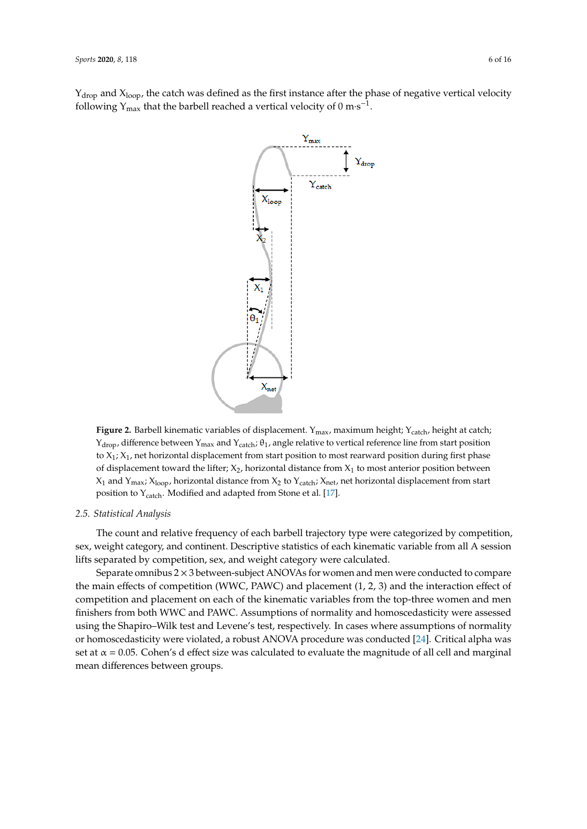<span id="page-7-0"></span> $Y_{drop}$  and  $X_{loop}$ , the catch was defined as the first instance after the phase of negative vertical velocity following  $Y_{\text{max}}$  that the barbell reached a vertical velocity of 0 m·s<sup>-1</sup>.



**Figure 2.** Barbell kinematic variables of displacement. Y<sub>max</sub>, maximum height; Y<sub>catch</sub>, height at catch;  $Y_{drop}$ , difference between  $Y_{max}$  and  $Y_{catch}$ ;  $\theta_1$ , angle relative to vertical reference line from start position to  $x_1$ ;  $x_1$ , net horizontal displacement from start position to most rearward position during first phase of displacement toward the lifter;  $X_2$ , horizontal distance from  $X_1$  to most anterior position between  $X_1$  and  $Y_{\text{max}}$ ;  $X_{\text{loop}}$ , horizontal distance from  $X_2$  to  $Y_{\text{catch}}$ ;  $X_{\text{net}}$ , net horizontal displacement from start position to Y<sub>catch</sub>. Modified and adapted from Stone et al. [\[17\]](#page-15-12).

#### *2.5. Statistical Analysis 2.5. Statistical Analysis*

The count and relative frequency of each barbell trajectory type were categorized by The count and relative frequency of each barbell trajectory type were categorized by competition, sex, weight category, and continent. Descriptive statistics of each kinematic variable from all A session lifts separated by competition, sex, and weight category were calculated.

Separate omnibus 2 × 3 between-subject ANOVAs for women and men were conducted to Separate omnibus 2 × 3 between-subject ANOVAs for women and men were conducted to compare the main effects of competition (WWC, PAWC) and placement  $(1, 2, 3)$  and the interaction effect of competition and placement on each of the kinematic variables from the top-three women and men and men finishers from both WWC and PAWC. Assumptions of normality and homoscedasticity finishers from both WWC and PAWC. Assumptions of normality and homoscedasticity were assessed using the Shapiro–Wilk test and Levene's test, respectively. In cases where assumptions of normality or homoscedasticity were violated, a robust ANOVA procedure was conducted [\[24\]](#page-16-3). Critical alpha was set at  $\alpha$  = 0.05. Cohen's d effect size was calculated to evaluate the magnitude of all cell and marginal mean differences between groups.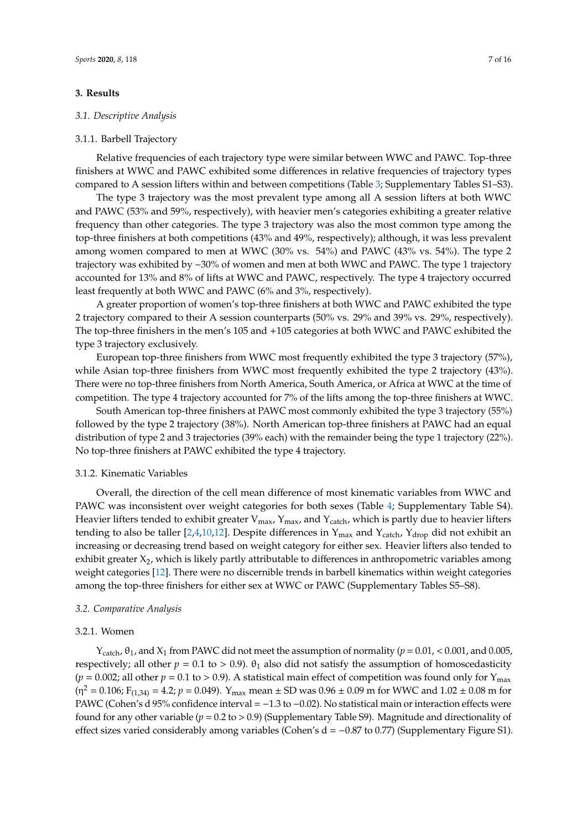#### **3. Results**

#### *3.1. Descriptive Analysis*

#### 3.1.1. Barbell Trajectory

Relative frequencies of each trajectory type were similar between WWC and PAWC. Top-three finishers at WWC and PAWC exhibited some differences in relative frequencies of trajectory types compared to A session lifters within and between competitions (Table [3;](#page-9-0) Supplementary Tables S1–S3).

The type 3 trajectory was the most prevalent type among all A session lifters at both WWC and PAWC (53% and 59%, respectively), with heavier men's categories exhibiting a greater relative frequency than other categories. The type 3 trajectory was also the most common type among the top-three finishers at both competitions (43% and 49%, respectively); although, it was less prevalent among women compared to men at WWC (30% vs. 54%) and PAWC (43% vs. 54%). The type 2 trajectory was exhibited by ~30% of women and men at both WWC and PAWC. The type 1 trajectory accounted for 13% and 8% of lifts at WWC and PAWC, respectively. The type 4 trajectory occurred least frequently at both WWC and PAWC (6% and 3%, respectively).

A greater proportion of women's top-three finishers at both WWC and PAWC exhibited the type 2 trajectory compared to their A session counterparts (50% vs. 29% and 39% vs. 29%, respectively). The top-three finishers in the men's 105 and +105 categories at both WWC and PAWC exhibited the type 3 trajectory exclusively.

European top-three finishers from WWC most frequently exhibited the type 3 trajectory (57%), while Asian top-three finishers from WWC most frequently exhibited the type 2 trajectory (43%). There were no top-three finishers from North America, South America, or Africa at WWC at the time of competition. The type 4 trajectory accounted for 7% of the lifts among the top-three finishers at WWC.

South American top-three finishers at PAWC most commonly exhibited the type 3 trajectory (55%) followed by the type 2 trajectory (38%). North American top-three finishers at PAWC had an equal distribution of type 2 and 3 trajectories (39% each) with the remainder being the type 1 trajectory (22%). No top-three finishers at PAWC exhibited the type 4 trajectory.

#### 3.1.2. Kinematic Variables

Overall, the direction of the cell mean difference of most kinematic variables from WWC and PAWC was inconsistent over weight categories for both sexes (Table [4;](#page-10-0) Supplementary Table S4). Heavier lifters tended to exhibit greater  $V_{max}$ ,  $Y_{max}$ , and  $Y_{catch}$ , which is partly due to heavier lifters tending to also be taller [\[2](#page-15-15)[,4](#page-15-2)[,10](#page-15-16)[,12\]](#page-15-6). Despite differences in  $Y_{\text{max}}$  and  $Y_{\text{catch}}$ ,  $Y_{\text{drop}}$  did not exhibit an increasing or decreasing trend based on weight category for either sex. Heavier lifters also tended to exhibit greater  $X_2$ , which is likely partly attributable to differences in anthropometric variables among weight categories [\[12\]](#page-15-6). There were no discernible trends in barbell kinematics within weight categories among the top-three finishers for either sex at WWC or PAWC (Supplementary Tables S5–S8).

#### *3.2. Comparative Analysis*

#### 3.2.1. Women

 $Y_{\text{catch}}$ ,  $\theta_1$ , and  $X_1$  from PAWC did not meet the assumption of normality ( $p = 0.01$ , < 0.001, and 0.005, respectively; all other  $p = 0.1$  to  $> 0.9$ ).  $\theta_1$  also did not satisfy the assumption of homoscedasticity  $(p = 0.002)$ ; all other  $p = 0.1$  to  $> 0.9$ ). A statistical main effect of competition was found only for  $Y_{\text{max}}$  $(\eta^2 = 0.106; F_{(1,34)} = 4.2; p = 0.049)$ . Y<sub>max</sub> mean  $\pm$  SD was  $0.96 \pm 0.09$  m for WWC and  $1.02 \pm 0.08$  m for PAWC (Cohen's d 95% confidence interval = −1.3 to −0.02). No statistical main or interaction effects were found for any other variable  $(p = 0.2 \text{ to } > 0.9)$  (Supplementary Table S9). Magnitude and directionality of effect sizes varied considerably among variables (Cohen's d = −0.87 to 0.77) (Supplementary Figure S1).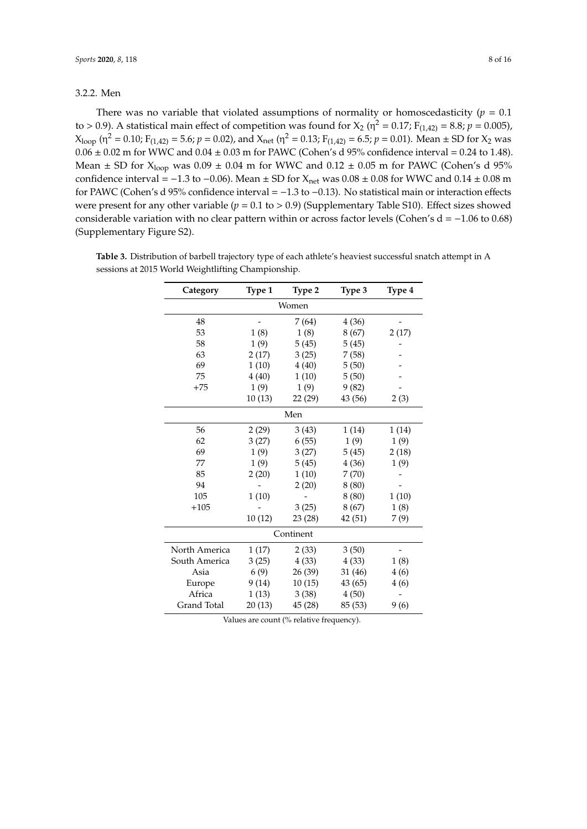#### 3.2.2. Men

There was no variable that violated assumptions of normality or homoscedasticity ( $p = 0.1$ ) to > 0.9). A statistical main effect of competition was found for  $X_2$  (η<sup>2</sup> = 0.17; F<sub>(1,42)</sub> = 8.8; *p* = 0.005),  $X_{\text{loop}}$  (η<sup>2</sup> = 0.10; F<sub>(1,42)</sub> = 5.6; *p* = 0.02), and  $X_{\text{net}}$  (η<sup>2</sup> = 0.13; F<sub>(1,42)</sub> = 6.5; *p* = 0.01). Mean ± SD for  $X_2$  was  $0.06 \pm 0.02$  m for WWC and  $0.04 \pm 0.03$  m for PAWC (Cohen's d 95% confidence interval = 0.24 to 1.48). Mean  $\pm$  SD for  $X_{loop}$  was 0.09  $\pm$  0.04 m for WWC and 0.12  $\pm$  0.05 m for PAWC (Cohen's d 95% confidence interval = −1.3 to −0.06). Mean ± SD for  $X_{net}$  was  $0.08 \pm 0.08$  for WWC and  $0.14 \pm 0.08$  m for PAWC (Cohen's d 95% confidence interval = −1.3 to −0.13). No statistical main or interaction effects were present for any other variable (*p* = 0.1 to > 0.9) (Supplementary Table S10). Effect sizes showed considerable variation with no clear pattern within or across factor levels (Cohen's  $d = -1.06$  to 0.68) (Supplementary Figure S2).

| Category      | Type 1 | Type 2  | Type 3  | Type 4 |  |  |  |  |
|---------------|--------|---------|---------|--------|--|--|--|--|
| Women         |        |         |         |        |  |  |  |  |
| 48            |        | 7(64)   | 4 (36)  |        |  |  |  |  |
| 53            | 1(8)   | 1(8)    | 8 (67)  | 2(17)  |  |  |  |  |
| 58            | 1(9)   | 5(45)   | 5(45)   |        |  |  |  |  |
| 63            | 2(17)  | 3(25)   | 7(58)   |        |  |  |  |  |
| 69            | 1(10)  | 4(40)   | 5(50)   |        |  |  |  |  |
| 75            | 4(40)  | 5(50)   |         |        |  |  |  |  |
| $+75$         | 1(9)   | 1(9)    | 9(82)   |        |  |  |  |  |
|               | 10(13) | 22(29)  | 43 (56) | 2(3)   |  |  |  |  |
| Men           |        |         |         |        |  |  |  |  |
| 56            | 2(29)  | 3(43)   | 1(14)   | 1(14)  |  |  |  |  |
| 62            | 3(27)  | 6(55)   | 1(9)    | 1(9)   |  |  |  |  |
| 69            | 1(9)   | 3(27)   | 5(45)   | 2(18)  |  |  |  |  |
| 77            | 1(9)   | 5(45)   | 4 (36)  | 1(9)   |  |  |  |  |
| 85            | 2(20)  | 1(10)   | 7(70)   |        |  |  |  |  |
| 94            |        | 2(20)   | 8(80)   |        |  |  |  |  |
| 105           | 1(10)  |         | 8(80)   | 1(10)  |  |  |  |  |
| $+105$        |        | 3(25)   | 8(67)   | 1(8)   |  |  |  |  |
|               | 10(12) | 23 (28) | 42 (51) | 7(9)   |  |  |  |  |
| Continent     |        |         |         |        |  |  |  |  |
| North America | 1(17)  | 2(33)   | 3(50)   |        |  |  |  |  |
| South America | 3(25)  | 4(33)   | 4(33)   | 1(8)   |  |  |  |  |
| Asia          | 6(9)   | 26 (39) | 31 (46) | 4(6)   |  |  |  |  |
| Europe        | 9(14)  | 10(15)  | 43 (65) | 4(6)   |  |  |  |  |
| Africa        | 1(13)  | 3(38)   | 4(50)   |        |  |  |  |  |
| Grand Total   | 20(13) | 45 (28) | 85 (53) | 9(6)   |  |  |  |  |

<span id="page-9-0"></span>**Table 3.** Distribution of barbell trajectory type of each athlete's heaviest successful snatch attempt in A sessions at 2015 World Weightlifting Championship.

Values are count (% relative frequency).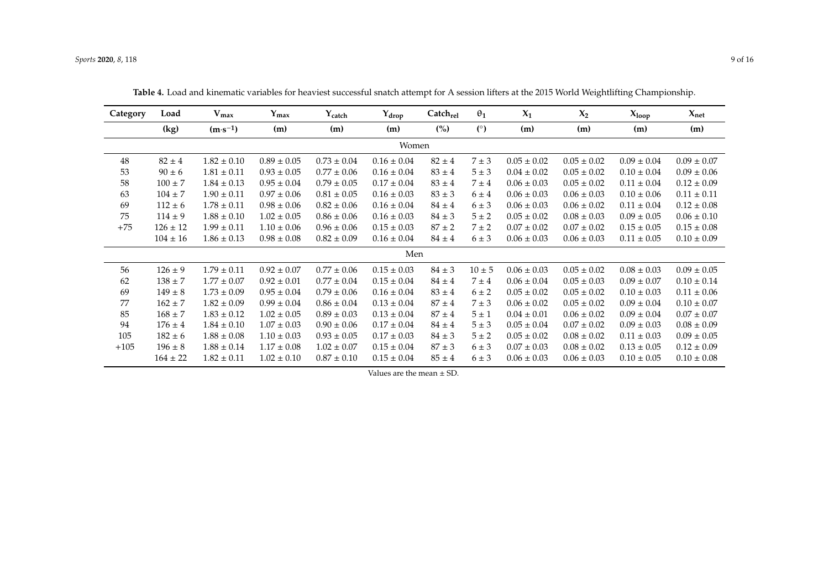<span id="page-10-0"></span>

| Category | Load         | $V_{max}$          | $Y_{\text{max}}$ | $Y_{\text{catch}}$ | $Y_{drop}$      | $\text{Catch}_{\text{rel}}$ | $\theta_1$ | $X_1$           | $X_2$           | $X_{loop}$      | $X_{\text{net}}$ |
|----------|--------------|--------------------|------------------|--------------------|-----------------|-----------------------------|------------|-----------------|-----------------|-----------------|------------------|
|          | (kg)         | $(m \cdot s^{-1})$ | (m)              | (m)                | (m)             | (%)                         | (°)        | (m)             | (m)             | (m)             | (m)              |
|          | Women        |                    |                  |                    |                 |                             |            |                 |                 |                 |                  |
| 48       | $82 \pm 4$   | $1.82 \pm 0.10$    | $0.89 \pm 0.05$  | $0.73 \pm 0.04$    | $0.16 \pm 0.04$ | $82 \pm 4$                  | $7 \pm 3$  | $0.05\pm0.02$   | $0.05 \pm 0.02$ | $0.09 \pm 0.04$ | $0.09 \pm 0.07$  |
| 53       | $90 \pm 6$   | $1.81 \pm 0.11$    | $0.93 \pm 0.05$  | $0.77 \pm 0.06$    | $0.16 \pm 0.04$ | $83 \pm 4$                  | $5 \pm 3$  | $0.04 \pm 0.02$ | $0.05 \pm 0.02$ | $0.10 \pm 0.04$ | $0.09 \pm 0.06$  |
| 58       | $100 \pm 7$  | $1.84 \pm 0.13$    | $0.95 \pm 0.04$  | $0.79 \pm 0.05$    | $0.17 \pm 0.04$ | $83 \pm 4$                  | $7 \pm 4$  | $0.06 \pm 0.03$ | $0.05 \pm 0.02$ | $0.11 \pm 0.04$ | $0.12 \pm 0.09$  |
| 63       | $104 \pm 7$  | $1.90 \pm 0.11$    | $0.97 \pm 0.06$  | $0.81 \pm 0.05$    | $0.16 \pm 0.03$ | $83 \pm 3$                  | $6 \pm 4$  | $0.06 \pm 0.03$ | $0.06 \pm 0.03$ | $0.10 \pm 0.06$ | $0.11 \pm 0.11$  |
| 69       | $112 \pm 6$  | $1.78 \pm 0.11$    | $0.98 \pm 0.06$  | $0.82 \pm 0.06$    | $0.16 \pm 0.04$ | $84 \pm 4$                  | $6 \pm 3$  | $0.06 \pm 0.03$ | $0.06 \pm 0.02$ | $0.11 \pm 0.04$ | $0.12 \pm 0.08$  |
| 75       | $114 \pm 9$  | $1.88 \pm 0.10$    | $1.02 \pm 0.05$  | $0.86 \pm 0.06$    | $0.16 \pm 0.03$ | $84 \pm 3$                  | $5 \pm 2$  | $0.05 \pm 0.02$ | $0.08 \pm 0.03$ | $0.09 \pm 0.05$ | $0.06 \pm 0.10$  |
| $+75$    | $126 \pm 12$ | $1.99 \pm 0.11$    | $1.10 \pm 0.06$  | $0.96 \pm 0.06$    | $0.15 \pm 0.03$ | $87 \pm 2$                  | $7 \pm 2$  | $0.07 \pm 0.02$ | $0.07 \pm 0.02$ | $0.15 \pm 0.05$ | $0.15 \pm 0.08$  |
|          | $104 \pm 16$ | $1.86 \pm 0.13$    | $0.98 \pm 0.08$  | $0.82 \pm 0.09$    | $0.16 \pm 0.04$ | $84 \pm 4$                  | $6 \pm 3$  | $0.06 \pm 0.03$ | $0.06 \pm 0.03$ | $0.11 \pm 0.05$ | $0.10 \pm 0.09$  |
|          | Men          |                    |                  |                    |                 |                             |            |                 |                 |                 |                  |
| 56       | $126 \pm 9$  | $1.79 \pm 0.11$    | $0.92 \pm 0.07$  | $0.77 \pm 0.06$    | $0.15 \pm 0.03$ | $84 \pm 3$                  | $10 \pm 5$ | $0.06 \pm 0.03$ | $0.05 \pm 0.02$ | $0.08 \pm 0.03$ | $0.09 \pm 0.05$  |
| 62       | $138 \pm 7$  | $1.77 \pm 0.07$    | $0.92 \pm 0.01$  | $0.77 \pm 0.04$    | $0.15 \pm 0.04$ | $84 \pm 4$                  | $7 \pm 4$  | $0.06 \pm 0.04$ | $0.05 \pm 0.03$ | $0.09 \pm 0.07$ | $0.10 \pm 0.14$  |
| 69       | $149 \pm 8$  | $1.73 \pm 0.09$    | $0.95 \pm 0.04$  | $0.79 \pm 0.06$    | $0.16 \pm 0.04$ | $83 \pm 4$                  | $6 \pm 2$  | $0.05 \pm 0.02$ | $0.05 \pm 0.02$ | $0.10 \pm 0.03$ | $0.11 \pm 0.06$  |
| 77       | $162 \pm 7$  | $1.82 \pm 0.09$    | $0.99 \pm 0.04$  | $0.86 \pm 0.04$    | $0.13 \pm 0.04$ | $87 \pm 4$                  | $7 \pm 3$  | $0.06 \pm 0.02$ | $0.05 \pm 0.02$ | $0.09 \pm 0.04$ | $0.10 \pm 0.07$  |
| 85       | $168 \pm 7$  | $1.83 \pm 0.12$    | $1.02 \pm 0.05$  | $0.89 \pm 0.03$    | $0.13\pm0.04$   | $87 \pm 4$                  | $5 \pm 1$  | $0.04 \pm 0.01$ | $0.06 \pm 0.02$ | $0.09 \pm 0.04$ | $0.07 \pm 0.07$  |
| 94       | $176 \pm 4$  | $1.84 \pm 0.10$    | $1.07 \pm 0.03$  | $0.90 \pm 0.06$    | $0.17 \pm 0.04$ | $84 \pm 4$                  | $5 \pm 3$  | $0.05 \pm 0.04$ | $0.07 \pm 0.02$ | $0.09 \pm 0.03$ | $0.08 \pm 0.09$  |
| 105      | $182 \pm 6$  | $1.88 \pm 0.08$    | $1.10 \pm 0.03$  | $0.93 \pm 0.05$    | $0.17 \pm 0.03$ | $84 \pm 3$                  | $5 \pm 2$  | $0.05 \pm 0.02$ | $0.08 \pm 0.02$ | $0.11 \pm 0.03$ | $0.09 \pm 0.05$  |
| $+105$   | $196 \pm 8$  | $1.88 \pm 0.14$    | $1.17 \pm 0.08$  | $1.02 \pm 0.07$    | $0.15 \pm 0.04$ | $87 \pm 3$                  | $6 \pm 3$  | $0.07 \pm 0.03$ | $0.08 \pm 0.02$ | $0.13 \pm 0.05$ | $0.12 \pm 0.09$  |
|          | $164 \pm 22$ | $1.82 \pm 0.11$    | $1.02 \pm 0.10$  | $0.87 \pm 0.10$    | $0.15 \pm 0.04$ | $85 \pm 4$                  | $6 \pm 3$  | $0.06 \pm 0.03$ | $0.06 \pm 0.03$ | $0.10 \pm 0.05$ | $0.10 \pm 0.08$  |

**Table 4.** Load and kinematic variables for heaviest successful snatch attempt for A session lifters at the 2015 World Weightlifting Championship.

Values are the mean  $\pm$  SD.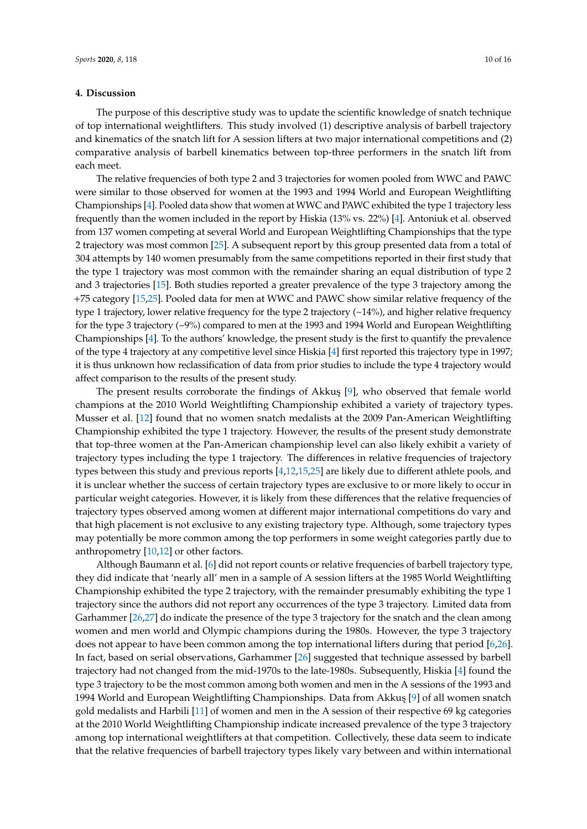#### **4. Discussion**

The purpose of this descriptive study was to update the scientific knowledge of snatch technique of top international weightlifters. This study involved (1) descriptive analysis of barbell trajectory and kinematics of the snatch lift for A session lifters at two major international competitions and (2) comparative analysis of barbell kinematics between top-three performers in the snatch lift from each meet.

The relative frequencies of both type 2 and 3 trajectories for women pooled from WWC and PAWC were similar to those observed for women at the 1993 and 1994 World and European Weightlifting Championships [\[4\]](#page-15-2). Pooled data show that women at WWC and PAWC exhibited the type 1 trajectory less frequently than the women included in the report by Hiskia (13% vs. 22%) [\[4\]](#page-15-2). Antoniuk et al. observed from 137 women competing at several World and European Weightlifting Championships that the type 2 trajectory was most common [\[25\]](#page-16-4). A subsequent report by this group presented data from a total of 304 attempts by 140 women presumably from the same competitions reported in their first study that the type 1 trajectory was most common with the remainder sharing an equal distribution of type 2 and 3 trajectories [\[15\]](#page-15-11). Both studies reported a greater prevalence of the type 3 trajectory among the +75 category [\[15,](#page-15-11)[25\]](#page-16-4). Pooled data for men at WWC and PAWC show similar relative frequency of the type 1 trajectory, lower relative frequency for the type 2 trajectory (~14%), and higher relative frequency for the type 3 trajectory (~9%) compared to men at the 1993 and 1994 World and European Weightlifting Championships [\[4\]](#page-15-2). To the authors' knowledge, the present study is the first to quantify the prevalence of the type 4 trajectory at any competitive level since Hiskia [\[4\]](#page-15-2) first reported this trajectory type in 1997; it is thus unknown how reclassification of data from prior studies to include the type 4 trajectory would affect comparison to the results of the present study.

The present results corroborate the findings of Akkuş  $[9]$ , who observed that female world champions at the 2010 World Weightlifting Championship exhibited a variety of trajectory types. Musser et al. [\[12\]](#page-15-6) found that no women snatch medalists at the 2009 Pan-American Weightlifting Championship exhibited the type 1 trajectory. However, the results of the present study demonstrate that top-three women at the Pan-American championship level can also likely exhibit a variety of trajectory types including the type 1 trajectory. The differences in relative frequencies of trajectory types between this study and previous reports [\[4,](#page-15-2)[12,](#page-15-6)[15](#page-15-11)[,25\]](#page-16-4) are likely due to different athlete pools, and it is unclear whether the success of certain trajectory types are exclusive to or more likely to occur in particular weight categories. However, it is likely from these differences that the relative frequencies of trajectory types observed among women at different major international competitions do vary and that high placement is not exclusive to any existing trajectory type. Although, some trajectory types may potentially be more common among the top performers in some weight categories partly due to anthropometry [\[10,](#page-15-16)[12\]](#page-15-6) or other factors.

Although Baumann et al. [\[6\]](#page-15-3) did not report counts or relative frequencies of barbell trajectory type, they did indicate that 'nearly all' men in a sample of A session lifters at the 1985 World Weightlifting Championship exhibited the type 2 trajectory, with the remainder presumably exhibiting the type 1 trajectory since the authors did not report any occurrences of the type 3 trajectory. Limited data from Garhammer [\[26](#page-16-5)[,27\]](#page-16-6) do indicate the presence of the type 3 trajectory for the snatch and the clean among women and men world and Olympic champions during the 1980s. However, the type 3 trajectory does not appear to have been common among the top international lifters during that period [\[6,](#page-15-3)[26\]](#page-16-5). In fact, based on serial observations, Garhammer [\[26\]](#page-16-5) suggested that technique assessed by barbell trajectory had not changed from the mid-1970s to the late-1980s. Subsequently, Hiskia [\[4\]](#page-15-2) found the type 3 trajectory to be the most common among both women and men in the A sessions of the 1993 and 1994 World and European Weightlifting Championships. Data from Akkus [\[9\]](#page-15-5) of all women snatch gold medalists and Harbili [\[11\]](#page-15-7) of women and men in the A session of their respective 69 kg categories at the 2010 World Weightlifting Championship indicate increased prevalence of the type 3 trajectory among top international weightlifters at that competition. Collectively, these data seem to indicate that the relative frequencies of barbell trajectory types likely vary between and within international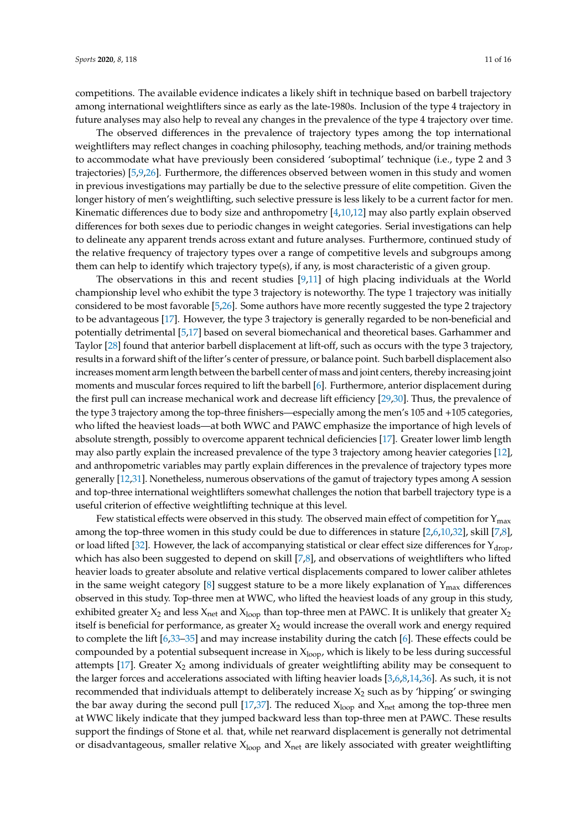competitions. The available evidence indicates a likely shift in technique based on barbell trajectory among international weightlifters since as early as the late-1980s. Inclusion of the type 4 trajectory in future analyses may also help to reveal any changes in the prevalence of the type 4 trajectory over time.

The observed differences in the prevalence of trajectory types among the top international weightlifters may reflect changes in coaching philosophy, teaching methods, and/or training methods to accommodate what have previously been considered 'suboptimal' technique (i.e., type 2 and 3 trajectories) [\[5,](#page-15-1)[9,](#page-15-5)[26\]](#page-16-5). Furthermore, the differences observed between women in this study and women in previous investigations may partially be due to the selective pressure of elite competition. Given the longer history of men's weightlifting, such selective pressure is less likely to be a current factor for men. Kinematic differences due to body size and anthropometry [\[4](#page-15-2)[,10,](#page-15-16)[12\]](#page-15-6) may also partly explain observed differences for both sexes due to periodic changes in weight categories. Serial investigations can help to delineate any apparent trends across extant and future analyses. Furthermore, continued study of the relative frequency of trajectory types over a range of competitive levels and subgroups among them can help to identify which trajectory type(s), if any, is most characteristic of a given group.

The observations in this and recent studies [\[9](#page-15-5)[,11\]](#page-15-7) of high placing individuals at the World championship level who exhibit the type 3 trajectory is noteworthy. The type 1 trajectory was initially considered to be most favorable [\[5](#page-15-1)[,26\]](#page-16-5). Some authors have more recently suggested the type 2 trajectory to be advantageous [\[17\]](#page-15-12). However, the type 3 trajectory is generally regarded to be non-beneficial and potentially detrimental [\[5](#page-15-1)[,17\]](#page-15-12) based on several biomechanical and theoretical bases. Garhammer and Taylor [\[28\]](#page-16-7) found that anterior barbell displacement at lift-off, such as occurs with the type 3 trajectory, results in a forward shift of the lifter's center of pressure, or balance point. Such barbell displacement also increases moment arm length between the barbell center of mass and joint centers, thereby increasing joint moments and muscular forces required to lift the barbell [\[6\]](#page-15-3). Furthermore, anterior displacement during the first pull can increase mechanical work and decrease lift efficiency [\[29,](#page-16-8)[30\]](#page-16-9). Thus, the prevalence of the type 3 trajectory among the top-three finishers—especially among the men's 105 and +105 categories, who lifted the heaviest loads—at both WWC and PAWC emphasize the importance of high levels of absolute strength, possibly to overcome apparent technical deficiencies [\[17\]](#page-15-12). Greater lower limb length may also partly explain the increased prevalence of the type 3 trajectory among heavier categories [\[12\]](#page-15-6), and anthropometric variables may partly explain differences in the prevalence of trajectory types more generally [\[12,](#page-15-6)[31\]](#page-16-10). Nonetheless, numerous observations of the gamut of trajectory types among A session and top-three international weightlifters somewhat challenges the notion that barbell trajectory type is a useful criterion of effective weightlifting technique at this level.

Few statistical effects were observed in this study. The observed main effect of competition for  $Y_{\text{max}}$ among the top-three women in this study could be due to differences in stature [\[2,](#page-15-15)[6,](#page-15-3)[10](#page-15-16)[,32\]](#page-16-11), skill [\[7,](#page-15-9)[8\]](#page-15-4), or load lifted [\[32\]](#page-16-11). However, the lack of accompanying statistical or clear effect size differences for  $Y_{drop}$ , which has also been suggested to depend on skill [\[7](#page-15-9)[,8\]](#page-15-4), and observations of weightlifters who lifted heavier loads to greater absolute and relative vertical displacements compared to lower caliber athletes in the same weight category  $[8]$  suggest stature to be a more likely explanation of  $Y_{\text{max}}$  differences observed in this study. Top-three men at WWC, who lifted the heaviest loads of any group in this study, exhibited greater  $X_2$  and less  $X_{net}$  and  $X_{loop}$  than top-three men at PAWC. It is unlikely that greater  $X_2$ itself is beneficial for performance, as greater  $X_2$  would increase the overall work and energy required to complete the lift [\[6](#page-15-3)[,33–](#page-16-12)[35\]](#page-16-13) and may increase instability during the catch [\[6\]](#page-15-3). These effects could be compounded by a potential subsequent increase in  $X_{loop}$ , which is likely to be less during successful attempts [\[17\]](#page-15-12). Greater  $X_2$  among individuals of greater weightlifting ability may be consequent to the larger forces and accelerations associated with lifting heavier loads [\[3,](#page-15-17)[6,](#page-15-3)[8,](#page-15-4)[14](#page-15-10)[,36\]](#page-16-14). As such, it is not recommended that individuals attempt to deliberately increase  $X_2$  such as by 'hipping' or swinging the bar away during the second pull [\[17,](#page-15-12)[37\]](#page-16-15). The reduced  $X_{loop}$  and  $X_{net}$  among the top-three men at WWC likely indicate that they jumped backward less than top-three men at PAWC. These results support the findings of Stone et al. that, while net rearward displacement is generally not detrimental or disadvantageous, smaller relative  $X_{\text{loop}}$  and  $X_{\text{net}}$  are likely associated with greater weightlifting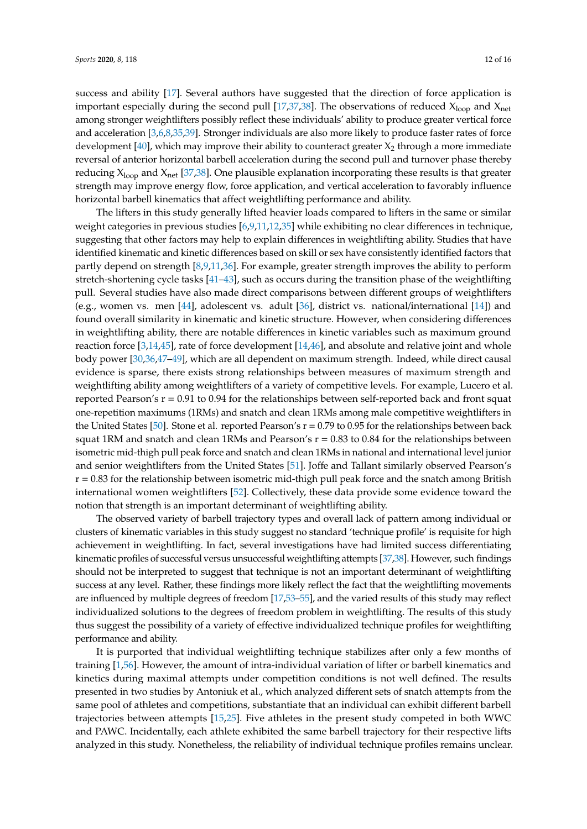success and ability [\[17\]](#page-15-12). Several authors have suggested that the direction of force application is important especially during the second pull [\[17](#page-15-12)[,37,](#page-16-15)[38\]](#page-16-16). The observations of reduced  $X_{\text{loop}}$  and  $X_{\text{net}}$ among stronger weightlifters possibly reflect these individuals' ability to produce greater vertical force and acceleration [\[3](#page-15-17)[,6,](#page-15-3)[8,](#page-15-4)[35](#page-16-13)[,39\]](#page-16-17). Stronger individuals are also more likely to produce faster rates of force development [\[40\]](#page-16-18), which may improve their ability to counteract greater  $X_2$  through a more immediate reversal of anterior horizontal barbell acceleration during the second pull and turnover phase thereby reducing  $X_{\text{loop}}$  and  $X_{\text{net}}$  [\[37,](#page-16-15)[38\]](#page-16-16). One plausible explanation incorporating these results is that greater strength may improve energy flow, force application, and vertical acceleration to favorably influence horizontal barbell kinematics that affect weightlifting performance and ability.

The lifters in this study generally lifted heavier loads compared to lifters in the same or similar weight categories in previous studies [\[6,](#page-15-3)[9,](#page-15-5)[11,](#page-15-7)[12,](#page-15-6)[35\]](#page-16-13) while exhibiting no clear differences in technique, suggesting that other factors may help to explain differences in weightlifting ability. Studies that have identified kinematic and kinetic differences based on skill or sex have consistently identified factors that partly depend on strength [\[8](#page-15-4)[,9](#page-15-5)[,11](#page-15-7)[,36\]](#page-16-14). For example, greater strength improves the ability to perform stretch-shortening cycle tasks [\[41](#page-16-19)[–43\]](#page-16-20), such as occurs during the transition phase of the weightlifting pull. Several studies have also made direct comparisons between different groups of weightlifters (e.g., women vs. men [\[44\]](#page-16-21), adolescent vs. adult [\[36\]](#page-16-14), district vs. national/international [\[14\]](#page-15-10)) and found overall similarity in kinematic and kinetic structure. However, when considering differences in weightlifting ability, there are notable differences in kinetic variables such as maximum ground reaction force [\[3,](#page-15-17)[14](#page-15-10)[,45\]](#page-16-22), rate of force development [\[14,](#page-15-10)[46\]](#page-16-23), and absolute and relative joint and whole body power [\[30](#page-16-9)[,36](#page-16-14)[,47–](#page-17-0)[49\]](#page-17-1), which are all dependent on maximum strength. Indeed, while direct causal evidence is sparse, there exists strong relationships between measures of maximum strength and weightlifting ability among weightlifters of a variety of competitive levels. For example, Lucero et al. reported Pearson's  $r = 0.91$  to 0.94 for the relationships between self-reported back and front squat one-repetition maximums (1RMs) and snatch and clean 1RMs among male competitive weightlifters in the United States [\[50\]](#page-17-2). Stone et al. reported Pearson's r = 0.79 to 0.95 for the relationships between back squat 1RM and snatch and clean 1RMs and Pearson's  $r = 0.83$  to 0.84 for the relationships between isometric mid-thigh pull peak force and snatch and clean 1RMs in national and international level junior and senior weightlifters from the United States [\[51\]](#page-17-3). Joffe and Tallant similarly observed Pearson's  $r = 0.83$  for the relationship between isometric mid-thigh pull peak force and the snatch among British international women weightlifters [\[52\]](#page-17-4). Collectively, these data provide some evidence toward the notion that strength is an important determinant of weightlifting ability.

The observed variety of barbell trajectory types and overall lack of pattern among individual or clusters of kinematic variables in this study suggest no standard 'technique profile' is requisite for high achievement in weightlifting. In fact, several investigations have had limited success differentiating kinematic profiles of successful versus unsuccessful weightlifting attempts [\[37,](#page-16-15)[38\]](#page-16-16). However, such findings should not be interpreted to suggest that technique is not an important determinant of weightlifting success at any level. Rather, these findings more likely reflect the fact that the weightlifting movements are influenced by multiple degrees of freedom [\[17,](#page-15-12)[53–](#page-17-5)[55\]](#page-17-6), and the varied results of this study may reflect individualized solutions to the degrees of freedom problem in weightlifting. The results of this study thus suggest the possibility of a variety of effective individualized technique profiles for weightlifting performance and ability.

It is purported that individual weightlifting technique stabilizes after only a few months of training [\[1](#page-15-0)[,56\]](#page-17-7). However, the amount of intra-individual variation of lifter or barbell kinematics and kinetics during maximal attempts under competition conditions is not well defined. The results presented in two studies by Antoniuk et al., which analyzed different sets of snatch attempts from the same pool of athletes and competitions, substantiate that an individual can exhibit different barbell trajectories between attempts [\[15,](#page-15-11)[25\]](#page-16-4). Five athletes in the present study competed in both WWC and PAWC. Incidentally, each athlete exhibited the same barbell trajectory for their respective lifts analyzed in this study. Nonetheless, the reliability of individual technique profiles remains unclear.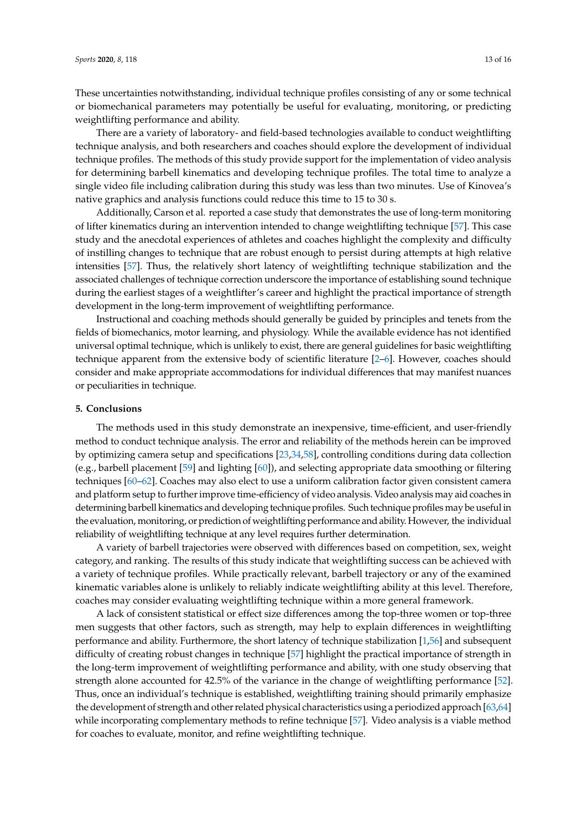These uncertainties notwithstanding, individual technique profiles consisting of any or some technical or biomechanical parameters may potentially be useful for evaluating, monitoring, or predicting weightlifting performance and ability.

There are a variety of laboratory- and field-based technologies available to conduct weightlifting technique analysis, and both researchers and coaches should explore the development of individual technique profiles. The methods of this study provide support for the implementation of video analysis for determining barbell kinematics and developing technique profiles. The total time to analyze a single video file including calibration during this study was less than two minutes. Use of Kinovea's native graphics and analysis functions could reduce this time to 15 to 30 s.

Additionally, Carson et al. reported a case study that demonstrates the use of long-term monitoring of lifter kinematics during an intervention intended to change weightlifting technique [\[57\]](#page-17-8). This case study and the anecdotal experiences of athletes and coaches highlight the complexity and difficulty of instilling changes to technique that are robust enough to persist during attempts at high relative intensities [\[57\]](#page-17-8). Thus, the relatively short latency of weightlifting technique stabilization and the associated challenges of technique correction underscore the importance of establishing sound technique during the earliest stages of a weightlifter's career and highlight the practical importance of strength development in the long-term improvement of weightlifting performance.

Instructional and coaching methods should generally be guided by principles and tenets from the fields of biomechanics, motor learning, and physiology. While the available evidence has not identified universal optimal technique, which is unlikely to exist, there are general guidelines for basic weightlifting technique apparent from the extensive body of scientific literature [\[2](#page-15-15)[–6\]](#page-15-3). However, coaches should consider and make appropriate accommodations for individual differences that may manifest nuances or peculiarities in technique.

#### **5. Conclusions**

The methods used in this study demonstrate an inexpensive, time-efficient, and user-friendly method to conduct technique analysis. The error and reliability of the methods herein can be improved by optimizing camera setup and specifications [\[23](#page-16-2)[,34](#page-16-24)[,58\]](#page-17-9), controlling conditions during data collection (e.g., barbell placement [\[59\]](#page-17-10) and lighting [\[60\]](#page-17-11)), and selecting appropriate data smoothing or filtering techniques [\[60](#page-17-11)[–62\]](#page-17-12). Coaches may also elect to use a uniform calibration factor given consistent camera and platform setup to further improve time-efficiency of video analysis. Video analysis may aid coaches in determining barbell kinematics and developing technique profiles. Such technique profiles may be useful in the evaluation, monitoring, or prediction of weightlifting performance and ability. However, the individual reliability of weightlifting technique at any level requires further determination.

A variety of barbell trajectories were observed with differences based on competition, sex, weight category, and ranking. The results of this study indicate that weightlifting success can be achieved with a variety of technique profiles. While practically relevant, barbell trajectory or any of the examined kinematic variables alone is unlikely to reliably indicate weightlifting ability at this level. Therefore, coaches may consider evaluating weightlifting technique within a more general framework.

A lack of consistent statistical or effect size differences among the top-three women or top-three men suggests that other factors, such as strength, may help to explain differences in weightlifting performance and ability. Furthermore, the short latency of technique stabilization [\[1](#page-15-0)[,56\]](#page-17-7) and subsequent difficulty of creating robust changes in technique [\[57\]](#page-17-8) highlight the practical importance of strength in the long-term improvement of weightlifting performance and ability, with one study observing that strength alone accounted for 42.5% of the variance in the change of weightlifting performance [\[52\]](#page-17-4). Thus, once an individual's technique is established, weightlifting training should primarily emphasize the development of strength and other related physical characteristics using a periodized approach [\[63,](#page-17-13)[64\]](#page-17-14) while incorporating complementary methods to refine technique [\[57\]](#page-17-8). Video analysis is a viable method for coaches to evaluate, monitor, and refine weightlifting technique.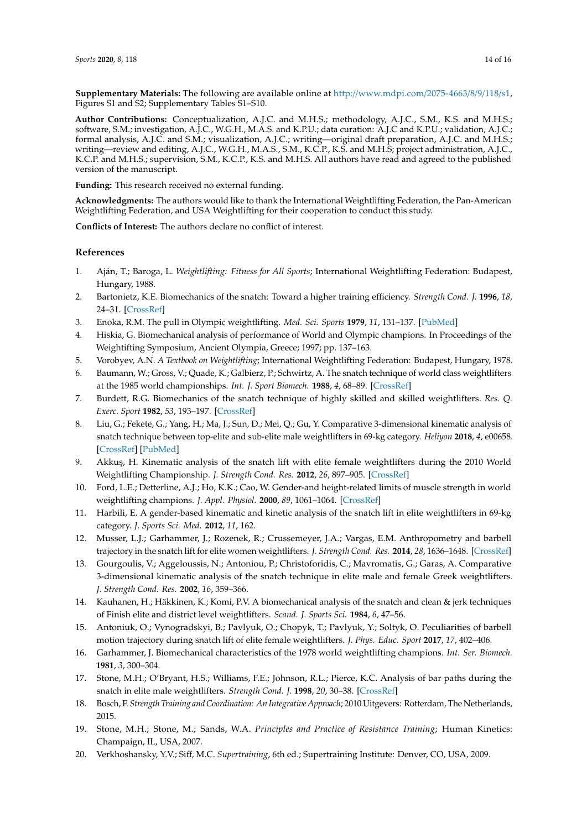**Supplementary Materials:** The following are available online at http://[www.mdpi.com](http://www.mdpi.com/2075-4663/8/9/118/s1)/2075-4663/8/9/118/s1, Figures S1 and S2; Supplementary Tables S1–S10.

**Author Contributions:** Conceptualization, A.J.C. and M.H.S.; methodology, A.J.C., S.M., K.S. and M.H.S.; software, S.M.; investigation, A.J.C., W.G.H., M.A.S. and K.P.U.; data curation: A.J.C and K.P.U.; validation, A.J.C.; formal analysis, A.J.C. and S.M.; visualization, A.J.C.; writing—original draft preparation, A.J.C. and M.H.S.; writing—review and editing, A.J.C., W.G.H., M.A.S., S.M., K.C.P., K.S. and M.H.S; project administration, A.J.C., K.C.P. and M.H.S.; supervision, S.M., K.C.P., K.S. and M.H.S. All authors have read and agreed to the published version of the manuscript.

**Funding:** This research received no external funding.

**Acknowledgments:** The authors would like to thank the International Weightlifting Federation, the Pan-American Weightlifting Federation, and USA Weightlifting for their cooperation to conduct this study.

**Conflicts of Interest:** The authors declare no conflict of interest.

#### **References**

- <span id="page-15-0"></span>1. Aján, T.; Baroga, L. *Weightlifting: Fitness for All Sports*; International Weightlifting Federation: Budapest, Hungary, 1988.
- <span id="page-15-15"></span>2. Bartonietz, K.E. Biomechanics of the snatch: Toward a higher training efficiency. *Strength Cond. J.* **1996**, *18*, 24–31. [\[CrossRef\]](http://dx.doi.org/10.1519/1073-6840(1996)018<0024:BOTSTA>2.3.CO;2)
- <span id="page-15-17"></span>3. Enoka, R.M. The pull in Olympic weightlifting. *Med. Sci. Sports* **1979**, *11*, 131–137. [\[PubMed\]](http://www.ncbi.nlm.nih.gov/pubmed/491869)
- <span id="page-15-2"></span>4. Hiskia, G. Biomechanical analysis of performance of World and Olympic champions. In Proceedings of the Weightifting Symposium, Ancient Olympia, Greece; 1997; pp. 137–163.
- <span id="page-15-1"></span>5. Vorobyev, A.N. *A Textbook on Weightlifting*; International Weightlifting Federation: Budapest, Hungary, 1978.
- <span id="page-15-3"></span>6. Baumann, W.; Gross, V.; Quade, K.; Galbierz, P.; Schwirtz, A. The snatch technique of world class weightlifters at the 1985 world championships. *Int. J. Sport Biomech.* **1988**, *4*, 68–89. [\[CrossRef\]](http://dx.doi.org/10.1123/ijsb.4.1.68)
- <span id="page-15-9"></span>7. Burdett, R.G. Biomechanics of the snatch technique of highly skilled and skilled weightlifters. *Res. Q. Exerc. Sport* **1982**, *53*, 193–197. [\[CrossRef\]](http://dx.doi.org/10.1080/02701367.1982.10609339)
- <span id="page-15-4"></span>8. Liu, G.; Fekete, G.; Yang, H.; Ma, J.; Sun, D.; Mei, Q.; Gu, Y. Comparative 3-dimensional kinematic analysis of snatch technique between top-elite and sub-elite male weightlifters in 69-kg category. *Heliyon* **2018**, *4*, e00658. [\[CrossRef\]](http://dx.doi.org/10.1016/j.heliyon.2018.e00658) [\[PubMed\]](http://www.ncbi.nlm.nih.gov/pubmed/30094358)
- <span id="page-15-5"></span>9. Akkuş, H. Kinematic analysis of the snatch lift with elite female weightlifters during the 2010 World Weightlifting Championship. *J. Strength Cond. Res.* **2012**, *26*, 897–905. [\[CrossRef\]](http://dx.doi.org/10.1519/JSC.0b013e31822e5945)
- <span id="page-15-16"></span>10. Ford, L.E.; Detterline, A.J.; Ho, K.K.; Cao, W. Gender-and height-related limits of muscle strength in world weightlifting champions. *J. Appl. Physiol.* **2000**, *89*, 1061–1064. [\[CrossRef\]](http://dx.doi.org/10.1152/jappl.2000.89.3.1061)
- <span id="page-15-7"></span>11. Harbili, E. A gender-based kinematic and kinetic analysis of the snatch lift in elite weightlifters in 69-kg category. *J. Sports Sci. Med.* **2012**, *11*, 162.
- <span id="page-15-6"></span>12. Musser, L.J.; Garhammer, J.; Rozenek, R.; Crussemeyer, J.A.; Vargas, E.M. Anthropometry and barbell trajectory in the snatch lift for elite women weightlifters. *J. Strength Cond. Res.* **2014**, *28*, 1636–1648. [\[CrossRef\]](http://dx.doi.org/10.1519/JSC.0000000000000450)
- <span id="page-15-8"></span>13. Gourgoulis, V.; Aggeloussis, N.; Antoniou, P.; Christoforidis, C.; Mavromatis, G.; Garas, A. Comparative 3-dimensional kinematic analysis of the snatch technique in elite male and female Greek weightlifters. *J. Strength Cond. Res.* **2002**, *16*, 359–366.
- <span id="page-15-10"></span>14. Kauhanen, H.; Häkkinen, K.; Komi, P.V. A biomechanical analysis of the snatch and clean & jerk techniques of Finish elite and district level weightlifters. *Scand. J. Sports Sci.* **1984**, *6*, 47–56.
- <span id="page-15-11"></span>15. Antoniuk, O.; Vynogradskyi, B.; Pavlyuk, O.; Chopyk, T.; Pavlyuk, Y.; Soltyk, O. Peculiarities of barbell motion trajectory during snatch lift of elite female weightlifters. *J. Phys. Educ. Sport* **2017**, *17*, 402–406.
- 16. Garhammer, J. Biomechanical characteristics of the 1978 world weightlifting champions. *Int. Ser. Biomech.* **1981**, *3*, 300–304.
- <span id="page-15-12"></span>17. Stone, M.H.; O'Bryant, H.S.; Williams, F.E.; Johnson, R.L.; Pierce, K.C. Analysis of bar paths during the snatch in elite male weightlifters. *Strength Cond. J.* **1998**, *20*, 30–38. [\[CrossRef\]](http://dx.doi.org/10.1519/1073-6840(1998)020<0030:AOBPDT>2.3.CO;2)
- <span id="page-15-13"></span>18. Bosch, F. *Strength Training and Coordination: An Integrative Approach*; 2010 Uitgevers: Rotterdam, The Netherlands, 2015.
- 19. Stone, M.H.; Stone, M.; Sands, W.A. *Principles and Practice of Resistance Training*; Human Kinetics: Champaign, IL, USA, 2007.
- <span id="page-15-14"></span>20. Verkhoshansky, Y.V.; Siff, M.C. *Supertraining*, 6th ed.; Supertraining Institute: Denver, CO, USA, 2009.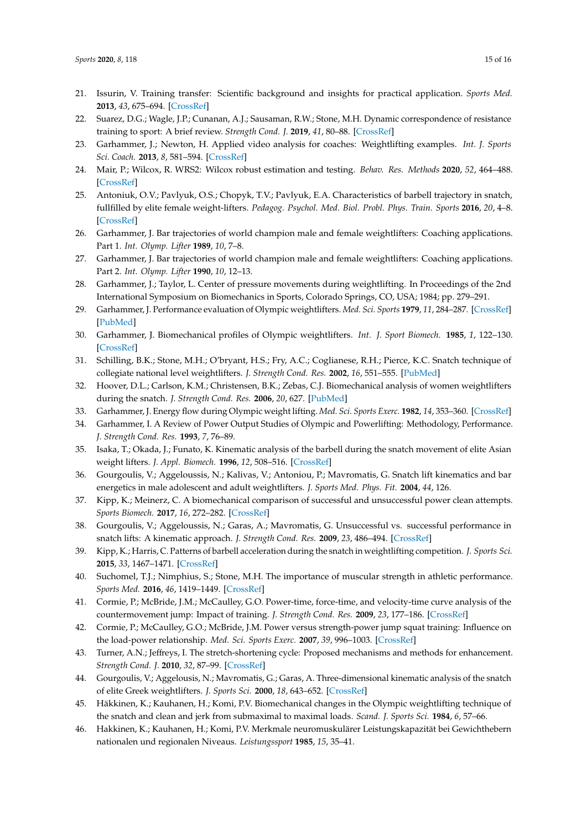- <span id="page-16-0"></span>21. Issurin, V. Training transfer: Scientific background and insights for practical application. *Sports Med.* **2013**, *43*, 675–694. [\[CrossRef\]](http://dx.doi.org/10.1007/s40279-013-0049-6)
- <span id="page-16-1"></span>22. Suarez, D.G.; Wagle, J.P.; Cunanan, A.J.; Sausaman, R.W.; Stone, M.H. Dynamic correspondence of resistance training to sport: A brief review. *Strength Cond. J.* **2019**, *41*, 80–88. [\[CrossRef\]](http://dx.doi.org/10.1519/SSC.0000000000000458)
- <span id="page-16-2"></span>23. Garhammer, J.; Newton, H. Applied video analysis for coaches: Weightlifting examples. *Int. J. Sports Sci. Coach.* **2013**, *8*, 581–594. [\[CrossRef\]](http://dx.doi.org/10.1260/1747-9541.8.3.581)
- <span id="page-16-3"></span>24. Mair, P.; Wilcox, R. WRS2: Wilcox robust estimation and testing. *Behav. Res. Methods* **2020**, *52*, 464–488. [\[CrossRef\]](http://dx.doi.org/10.3758/s13428-019-01246-w)
- <span id="page-16-4"></span>25. Antoniuk, O.V.; Pavlyuk, O.S.; Chopyk, T.V.; Pavlyuk, E.A. Characteristics of barbell trajectory in snatch, fullfilled by elite female weight-lifters. *Pedagog. Psychol. Med. Biol. Probl. Phys. Train. Sports* **2016**, *20*, 4–8. [\[CrossRef\]](http://dx.doi.org/10.3758/s13428-019-01246-w)
- <span id="page-16-5"></span>26. Garhammer, J. Bar trajectories of world champion male and female weightlifters: Coaching applications. Part 1. *Int. Olymp. Lifter* **1989**, *10*, 7–8.
- <span id="page-16-6"></span>27. Garhammer, J. Bar trajectories of world champion male and female weightlifters: Coaching applications. Part 2. *Int. Olymp. Lifter* **1990**, *10*, 12–13.
- <span id="page-16-7"></span>28. Garhammer, J.; Taylor, L. Center of pressure movements during weightlifting. In Proceedings of the 2nd International Symposium on Biomechanics in Sports, Colorado Springs, CO, USA; 1984; pp. 279–291.
- <span id="page-16-8"></span>29. Garhammer, J. Performance evaluation of Olympic weightlifters. *Med. Sci. Sports* **1979**, *11*, 284–287. [\[CrossRef\]](http://dx.doi.org/10.1249/00005768-197901130-00012) [\[PubMed\]](http://www.ncbi.nlm.nih.gov/pubmed/522641)
- <span id="page-16-9"></span>30. Garhammer, J. Biomechanical profiles of Olympic weightlifters. *Int. J. Sport Biomech.* **1985**, *1*, 122–130. [\[CrossRef\]](http://dx.doi.org/10.1123/ijsb.1.2.122)
- <span id="page-16-10"></span>31. Schilling, B.K.; Stone, M.H.; O'bryant, H.S.; Fry, A.C.; Coglianese, R.H.; Pierce, K.C. Snatch technique of collegiate national level weightlifters. *J. Strength Cond. Res.* **2002**, *16*, 551–555. [\[PubMed\]](http://www.ncbi.nlm.nih.gov/pubmed/12423184)
- <span id="page-16-11"></span>32. Hoover, D.L.; Carlson, K.M.; Christensen, B.K.; Zebas, C.J. Biomechanical analysis of women weightlifters during the snatch. *J. Strength Cond. Res.* **2006**, *20*, 627. [\[PubMed\]](http://www.ncbi.nlm.nih.gov/pubmed/16937977)
- <span id="page-16-12"></span>33. Garhammer, J. Energy flow during Olympic weight lifting. *Med. Sci. Sports Exerc.* **1982**, *14*, 353–360. [\[CrossRef\]](http://dx.doi.org/10.1249/00005768-198205000-00008)
- <span id="page-16-24"></span>34. Garhammer, I. A Review of Power Output Studies of Olympic and Powerlifting: Methodology, Performance. *J. Strength Cond. Res.* **1993**, *7*, 76–89.
- <span id="page-16-13"></span>35. Isaka, T.; Okada, J.; Funato, K. Kinematic analysis of the barbell during the snatch movement of elite Asian weight lifters. *J. Appl. Biomech.* **1996**, *12*, 508–516. [\[CrossRef\]](http://dx.doi.org/10.1123/jab.12.4.508)
- <span id="page-16-14"></span>36. Gourgoulis, V.; Aggeloussis, N.; Kalivas, V.; Antoniou, P.; Mavromatis, G. Snatch lift kinematics and bar energetics in male adolescent and adult weightlifters. *J. Sports Med. Phys. Fit.* **2004**, *44*, 126.
- <span id="page-16-15"></span>37. Kipp, K.; Meinerz, C. A biomechanical comparison of successful and unsuccessful power clean attempts. *Sports Biomech.* **2017**, *16*, 272–282. [\[CrossRef\]](http://dx.doi.org/10.1080/14763141.2016.1249939)
- <span id="page-16-16"></span>38. Gourgoulis, V.; Aggeloussis, N.; Garas, A.; Mavromatis, G. Unsuccessful vs. successful performance in snatch lifts: A kinematic approach. *J. Strength Cond. Res.* **2009**, *23*, 486–494. [\[CrossRef\]](http://dx.doi.org/10.1519/JSC.0b013e318196b843)
- <span id="page-16-17"></span>39. Kipp, K.; Harris, C. Patterns of barbell acceleration during the snatch in weightlifting competition. *J. Sports Sci.* **2015**, *33*, 1467–1471. [\[CrossRef\]](http://dx.doi.org/10.1080/02640414.2014.992035)
- <span id="page-16-18"></span>40. Suchomel, T.J.; Nimphius, S.; Stone, M.H. The importance of muscular strength in athletic performance. *Sports Med.* **2016**, *46*, 1419–1449. [\[CrossRef\]](http://dx.doi.org/10.1007/s40279-016-0486-0)
- <span id="page-16-19"></span>41. Cormie, P.; McBride, J.M.; McCaulley, G.O. Power-time, force-time, and velocity-time curve analysis of the countermovement jump: Impact of training. *J. Strength Cond. Res.* **2009**, *23*, 177–186. [\[CrossRef\]](http://dx.doi.org/10.1519/JSC.0b013e3181889324)
- 42. Cormie, P.; McCaulley, G.O.; McBride, J.M. Power versus strength-power jump squat training: Influence on the load-power relationship. *Med. Sci. Sports Exerc.* **2007**, *39*, 996–1003. [\[CrossRef\]](http://dx.doi.org/10.1097/mss.0b013e3180408e0c)
- <span id="page-16-20"></span>43. Turner, A.N.; Jeffreys, I. The stretch-shortening cycle: Proposed mechanisms and methods for enhancement. *Strength Cond. J.* **2010**, *32*, 87–99. [\[CrossRef\]](http://dx.doi.org/10.1519/SSC.0b013e3181e928f9)
- <span id="page-16-21"></span>44. Gourgoulis, V.; Aggelousis, N.; Mavromatis, G.; Garas, A. Three-dimensional kinematic analysis of the snatch of elite Greek weightlifters. *J. Sports Sci.* **2000**, *18*, 643–652. [\[CrossRef\]](http://dx.doi.org/10.1080/02640410050082332)
- <span id="page-16-22"></span>45. Häkkinen, K.; Kauhanen, H.; Komi, P.V. Biomechanical changes in the Olympic weightlifting technique of the snatch and clean and jerk from submaximal to maximal loads. *Scand. J. Sports Sci.* **1984**, *6*, 57–66.
- <span id="page-16-23"></span>46. Hakkinen, K.; Kauhanen, H.; Komi, P.V. Merkmale neuromuskulärer Leistungskapazität bei Gewichthebern nationalen und regionalen Niveaus. *Leistungssport* **1985**, *15*, 35–41.